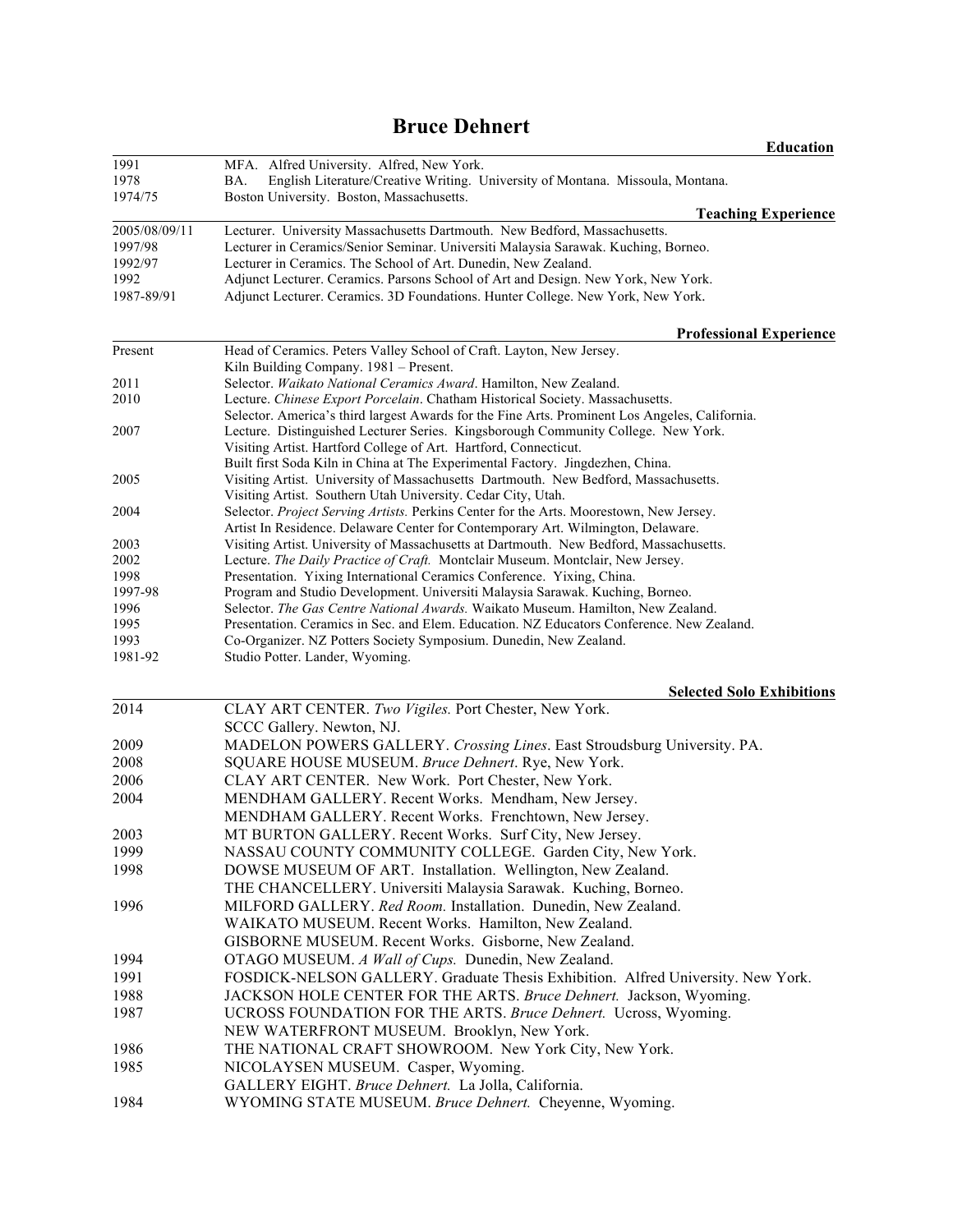## **Bruce Dehnert**

|               | <b>Education</b>                                                                                                                                      |  |  |
|---------------|-------------------------------------------------------------------------------------------------------------------------------------------------------|--|--|
| 1991          | MFA. Alfred University. Alfred, New York.                                                                                                             |  |  |
| 1978          | English Literature/Creative Writing. University of Montana. Missoula, Montana.<br>BA.                                                                 |  |  |
| 1974/75       | Boston University. Boston, Massachusetts.                                                                                                             |  |  |
|               | <b>Teaching Experience</b>                                                                                                                            |  |  |
| 2005/08/09/11 | Lecturer. University Massachusetts Dartmouth. New Bedford, Massachusetts.                                                                             |  |  |
| 1997/98       | Lecturer in Ceramics/Senior Seminar. Universiti Malaysia Sarawak. Kuching, Borneo.                                                                    |  |  |
| 1992/97       | Lecturer in Ceramics. The School of Art. Dunedin, New Zealand.                                                                                        |  |  |
| 1992          | Adjunct Lecturer. Ceramics. Parsons School of Art and Design. New York, New York.                                                                     |  |  |
| 1987-89/91    | Adjunct Lecturer. Ceramics. 3D Foundations. Hunter College. New York, New York.                                                                       |  |  |
|               | <b>Professional Experience</b>                                                                                                                        |  |  |
| Present       | Head of Ceramics. Peters Valley School of Craft. Layton, New Jersey.                                                                                  |  |  |
|               | Kiln Building Company. 1981 – Present.                                                                                                                |  |  |
| 2011          | Selector. Waikato National Ceramics Award. Hamilton, New Zealand.                                                                                     |  |  |
| 2010          | Lecture. Chinese Export Porcelain. Chatham Historical Society. Massachusetts.                                                                         |  |  |
|               | Selector. America's third largest Awards for the Fine Arts. Prominent Los Angeles, California.                                                        |  |  |
| 2007          | Lecture. Distinguished Lecturer Series. Kingsborough Community College. New York.<br>Visiting Artist. Hartford College of Art. Hartford, Connecticut. |  |  |
|               | Built first Soda Kiln in China at The Experimental Factory. Jingdezhen, China.                                                                        |  |  |
| 2005          | Visiting Artist. University of Massachusetts Dartmouth. New Bedford, Massachusetts.                                                                   |  |  |
|               | Visiting Artist. Southern Utah University. Cedar City, Utah.                                                                                          |  |  |
| 2004          | Selector. Project Serving Artists. Perkins Center for the Arts. Moorestown, New Jersey.                                                               |  |  |
|               | Artist In Residence. Delaware Center for Contemporary Art. Wilmington, Delaware.                                                                      |  |  |
| 2003          | Visiting Artist. University of Massachusetts at Dartmouth. New Bedford, Massachusetts.                                                                |  |  |
| 2002          | Lecture. The Daily Practice of Craft. Montclair Museum. Montclair, New Jersey.                                                                        |  |  |
| 1998          | Presentation. Yixing International Ceramics Conference. Yixing, China.                                                                                |  |  |
| 1997-98       | Program and Studio Development. Universiti Malaysia Sarawak. Kuching, Borneo.                                                                         |  |  |
| 1996          | Selector. The Gas Centre National Awards. Waikato Museum. Hamilton, New Zealand.                                                                      |  |  |
| 1995          | Presentation. Ceramics in Sec. and Elem. Education. NZ Educators Conference. New Zealand.                                                             |  |  |
| 1993          | Co-Organizer. NZ Potters Society Symposium. Dunedin, New Zealand.                                                                                     |  |  |
| 1981-92       | Studio Potter. Lander, Wyoming.                                                                                                                       |  |  |
|               | <b>Selected Solo Exhibitions</b>                                                                                                                      |  |  |
| 2014          | CLAY ART CENTER. Two Vigiles. Port Chester, New York.                                                                                                 |  |  |
|               | SCCC Gallery. Newton, NJ.                                                                                                                             |  |  |
| 2009          | MADELON POWERS GALLERY. Crossing Lines. East Stroudsburg University. PA.                                                                              |  |  |
| 2008          | SQUARE HOUSE MUSEUM. Bruce Dehnert. Rye, New York.                                                                                                    |  |  |
| 2006          | CLAY ART CENTER. New Work. Port Chester, New York.                                                                                                    |  |  |
| 2004          | MENDHAM GALLERY. Recent Works. Mendham, New Jersey.                                                                                                   |  |  |
|               | MENDHAM GALLERY. Recent Works. Frenchtown, New Jersey.                                                                                                |  |  |
| 2003          | MT BURTON GALLERY. Recent Works. Surf City, New Jersey.                                                                                               |  |  |
| 1999          | NASSAU COUNTY COMMUNITY COLLEGE. Garden City, New York.                                                                                               |  |  |
| 1998          | DOWSE MUSEUM OF ART. Installation. Wellington, New Zealand.                                                                                           |  |  |
|               | THE CHANCELLERY. Universiti Malaysia Sarawak. Kuching, Borneo.                                                                                        |  |  |
| 1996          | MILFORD GALLERY. Red Room. Installation. Dunedin, New Zealand.                                                                                        |  |  |
|               | WAIKATO MUSEUM. Recent Works. Hamilton, New Zealand.                                                                                                  |  |  |
|               |                                                                                                                                                       |  |  |
|               | GISBORNE MUSEUM. Recent Works. Gisborne, New Zealand.                                                                                                 |  |  |
| 1994          | OTAGO MUSEUM. A Wall of Cups. Dunedin, New Zealand.                                                                                                   |  |  |
| 1991          | FOSDICK-NELSON GALLERY. Graduate Thesis Exhibition. Alfred University. New York.                                                                      |  |  |
| 1988          | JACKSON HOLE CENTER FOR THE ARTS. Bruce Dehnert. Jackson, Wyoming.                                                                                    |  |  |
| 1987          | UCROSS FOUNDATION FOR THE ARTS. Bruce Dehnert. Ucross, Wyoming.                                                                                       |  |  |
|               | NEW WATERFRONT MUSEUM. Brooklyn, New York.                                                                                                            |  |  |
| 1986          | THE NATIONAL CRAFT SHOWROOM. New York City, New York.                                                                                                 |  |  |
| 1985          | NICOLAYSEN MUSEUM. Casper, Wyoming.                                                                                                                   |  |  |
|               | GALLERY EIGHT. Bruce Dehnert. La Jolla, California.                                                                                                   |  |  |
| 1984          | WYOMING STATE MUSEUM. Bruce Dehnert. Cheyenne, Wyoming.                                                                                               |  |  |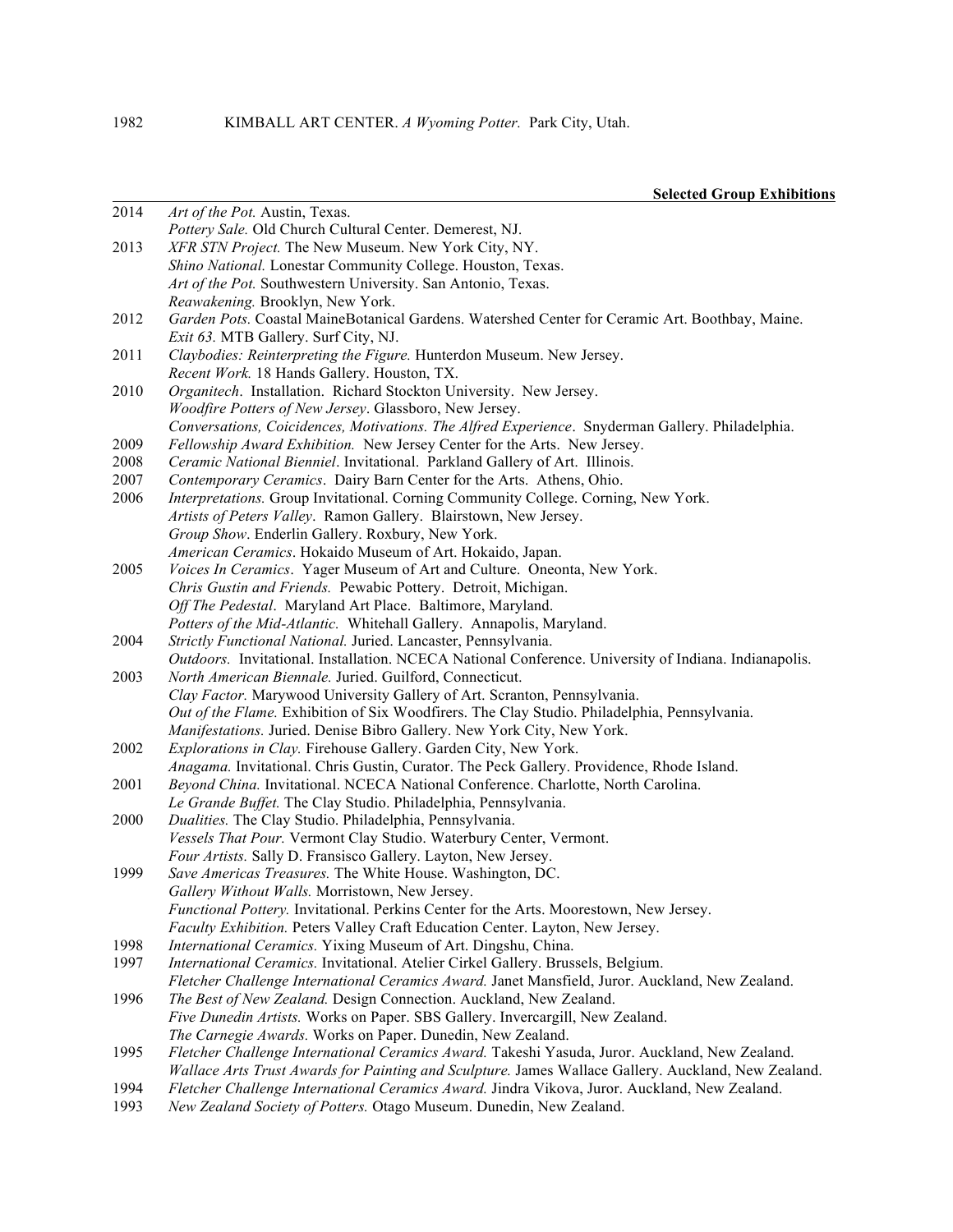|  | <b>Selected Group Exhibitions</b> |
|--|-----------------------------------|
|  |                                   |

| 2014 | Art of the Pot. Austin, Texas.                                                                                                                                                                        |
|------|-------------------------------------------------------------------------------------------------------------------------------------------------------------------------------------------------------|
|      | Pottery Sale. Old Church Cultural Center. Demerest, NJ.                                                                                                                                               |
| 2013 | XFR STN Project. The New Museum. New York City, NY.                                                                                                                                                   |
|      | Shino National. Lonestar Community College. Houston, Texas.                                                                                                                                           |
|      | Art of the Pot. Southwestern University. San Antonio, Texas.                                                                                                                                          |
|      | Reawakening. Brooklyn, New York.                                                                                                                                                                      |
| 2012 | Garden Pots. Coastal MaineBotanical Gardens. Watershed Center for Ceramic Art. Boothbay, Maine.                                                                                                       |
|      | Exit 63. MTB Gallery. Surf City, NJ.                                                                                                                                                                  |
| 2011 | Claybodies: Reinterpreting the Figure. Hunterdon Museum. New Jersey.                                                                                                                                  |
|      | Recent Work. 18 Hands Gallery. Houston, TX.                                                                                                                                                           |
| 2010 | Organitech. Installation. Richard Stockton University. New Jersey.                                                                                                                                    |
|      | Woodfire Potters of New Jersey. Glassboro, New Jersey.                                                                                                                                                |
|      | Conversations, Coicidences, Motivations. The Alfred Experience. Snyderman Gallery. Philadelphia.                                                                                                      |
| 2009 | Fellowship Award Exhibition. New Jersey Center for the Arts. New Jersey.                                                                                                                              |
| 2008 | Ceramic National Bienniel. Invitational. Parkland Gallery of Art. Illinois.                                                                                                                           |
| 2007 | Contemporary Ceramics. Dairy Barn Center for the Arts. Athens, Ohio.                                                                                                                                  |
| 2006 | Interpretations. Group Invitational. Corning Community College. Corning, New York.                                                                                                                    |
|      | Artists of Peters Valley. Ramon Gallery. Blairstown, New Jersey.                                                                                                                                      |
|      | Group Show. Enderlin Gallery. Roxbury, New York.                                                                                                                                                      |
|      | American Ceramics. Hokaido Museum of Art. Hokaido, Japan.                                                                                                                                             |
| 2005 | Voices In Ceramics. Yager Museum of Art and Culture. Oneonta, New York.                                                                                                                               |
|      | Chris Gustin and Friends. Pewabic Pottery. Detroit, Michigan.                                                                                                                                         |
|      | Off The Pedestal. Maryland Art Place. Baltimore, Maryland.                                                                                                                                            |
|      | Potters of the Mid-Atlantic. Whitehall Gallery. Annapolis, Maryland.                                                                                                                                  |
| 2004 | Strictly Functional National. Juried. Lancaster, Pennsylvania.                                                                                                                                        |
|      | Outdoors. Invitational. Installation. NCECA National Conference. University of Indiana. Indianapolis.                                                                                                 |
| 2003 | North American Biennale. Juried. Guilford, Connecticut.                                                                                                                                               |
|      | Clay Factor. Marywood University Gallery of Art. Scranton, Pennsylvania.                                                                                                                              |
|      | Out of the Flame. Exhibition of Six Woodfirers. The Clay Studio. Philadelphia, Pennsylvania.                                                                                                          |
|      | Manifestations. Juried. Denise Bibro Gallery. New York City, New York.                                                                                                                                |
| 2002 | Explorations in Clay. Firehouse Gallery. Garden City, New York.                                                                                                                                       |
|      | Anagama. Invitational. Chris Gustin, Curator. The Peck Gallery. Providence, Rhode Island.                                                                                                             |
| 2001 | Beyond China. Invitational. NCECA National Conference. Charlotte, North Carolina.                                                                                                                     |
|      | Le Grande Buffet. The Clay Studio. Philadelphia, Pennsylvania.                                                                                                                                        |
| 2000 | Dualities. The Clay Studio. Philadelphia, Pennsylvania.                                                                                                                                               |
|      | Vessels That Pour. Vermont Clay Studio. Waterbury Center, Vermont.                                                                                                                                    |
|      | Four Artists. Sally D. Fransisco Gallery. Layton, New Jersey.                                                                                                                                         |
| 1999 | Save Americas Treasures. The White House. Washington, DC.                                                                                                                                             |
|      | Gallery Without Walls. Morristown, New Jersey.                                                                                                                                                        |
|      | Functional Pottery. Invitational. Perkins Center for the Arts. Moorestown, New Jersey.                                                                                                                |
|      | Faculty Exhibition. Peters Valley Craft Education Center. Layton, New Jersey.                                                                                                                         |
| 1998 | International Ceramics. Yixing Museum of Art. Dingshu, China.                                                                                                                                         |
| 1997 | International Ceramics. Invitational. Atelier Cirkel Gallery. Brussels, Belgium.                                                                                                                      |
|      | Fletcher Challenge International Ceramics Award. Janet Mansfield, Juror. Auckland, New Zealand.                                                                                                       |
| 1996 | The Best of New Zealand. Design Connection. Auckland, New Zealand.                                                                                                                                    |
|      | Five Dunedin Artists. Works on Paper. SBS Gallery. Invercargill, New Zealand.                                                                                                                         |
|      | The Carnegie Awards. Works on Paper. Dunedin, New Zealand.                                                                                                                                            |
| 1995 | Fletcher Challenge International Ceramics Award. Takeshi Yasuda, Juror. Auckland, New Zealand.<br>Wallace Arts Trust Awards for Painting and Sculpture. James Wallace Gallery. Auckland, New Zealand. |
| 1994 | Fletcher Challenge International Ceramics Award. Jindra Vikova, Juror. Auckland, New Zealand.                                                                                                         |
| 1993 | New Zealand Society of Potters. Otago Museum. Dunedin, New Zealand.                                                                                                                                   |
|      |                                                                                                                                                                                                       |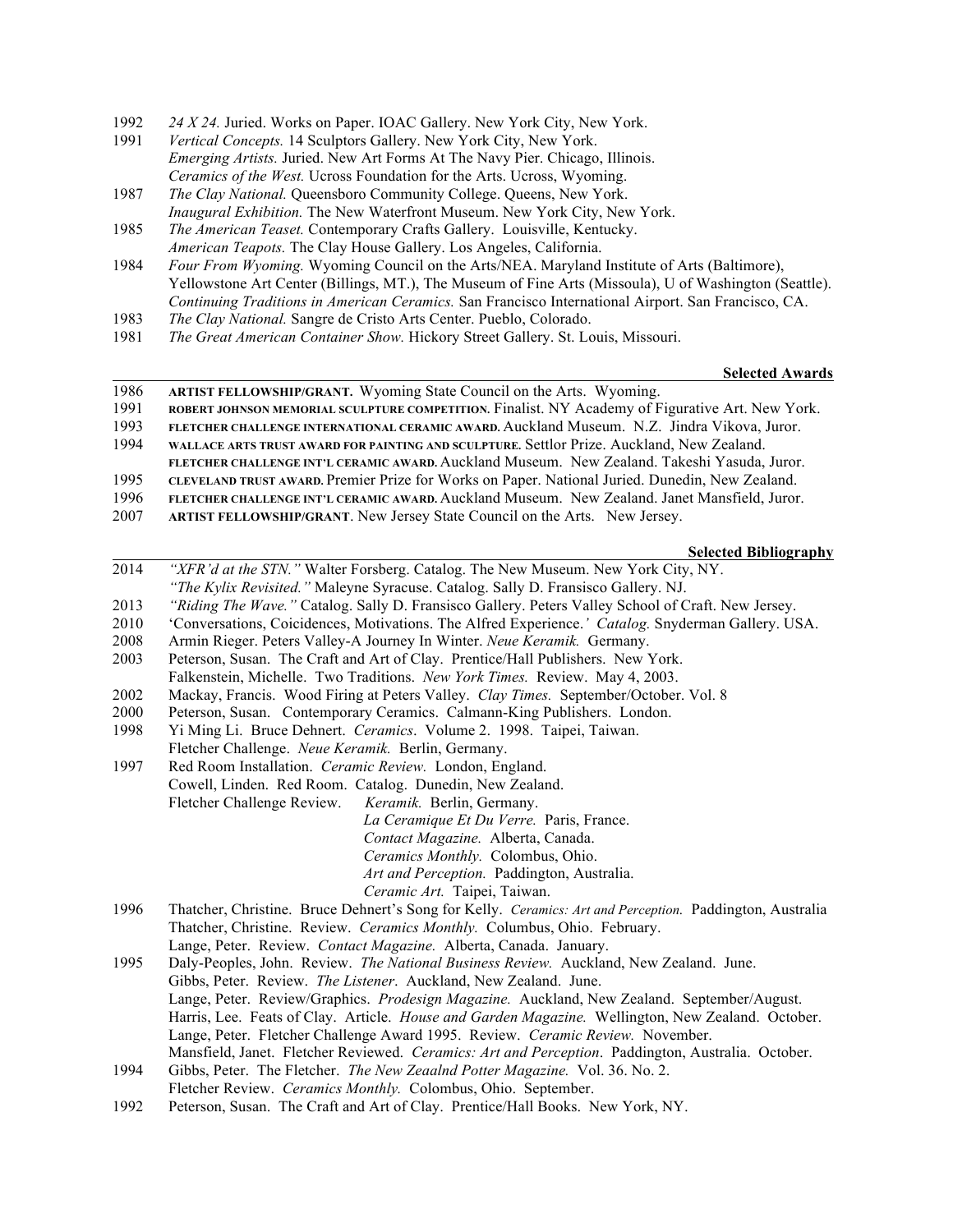- 1992 *24 X 24.* Juried. Works on Paper. IOAC Gallery. New York City, New York.
- 1991 *Vertical Concepts.* 14 Sculptors Gallery. New York City, New York. *Emerging Artists.* Juried. New Art Forms At The Navy Pier. Chicago, Illinois. *Ceramics of the West.* Ucross Foundation for the Arts. Ucross, Wyoming.
- 1987 *The Clay National.* Queensboro Community College. Queens, New York. *Inaugural Exhibition.* The New Waterfront Museum. New York City, New York.
- 1985 *The American Teaset.* Contemporary Crafts Gallery. Louisville, Kentucky. *American Teapots.* The Clay House Gallery. Los Angeles, California.
- 1984 *Four From Wyoming.* Wyoming Council on the Arts/NEA. Maryland Institute of Arts (Baltimore), Yellowstone Art Center (Billings, MT.), The Museum of Fine Arts (Missoula), U of Washington (Seattle). *Continuing Traditions in American Ceramics.* San Francisco International Airport. San Francisco, CA.
- 1983 *The Clay National.* Sangre de Cristo Arts Center. Pueblo, Colorado.
- 1981 *The Great American Container Show.* Hickory Street Gallery. St. Louis, Missouri.

#### **Selected Awards**

- 1986 **ARTIST FELLOWSHIP/GRANT.** Wyoming State Council on the Arts. Wyoming. 1991 **ROBERT JOHNSON MEMORIAL SCULPTURE COMPETITION.** Finalist. NY Academy of Figurative Art. New York.
- 1993 **FLETCHER CHALLENGE INTERNATIONAL CERAMIC AWARD.** Auckland Museum. N.Z. Jindra Vikova, Juror.
- 1994 **WALLACE ARTS TRUST AWARD FOR PAINTING AND SCULPTURE.** Settlor Prize. Auckland, New Zealand.
- **FLETCHER CHALLENGE INT'L CERAMIC AWARD.** Auckland Museum. New Zealand. Takeshi Yasuda, Juror.
- 1995 **CLEVELAND TRUST AWARD.** Premier Prize for Works on Paper. National Juried. Dunedin, New Zealand.
- 1996 **FLETCHER CHALLENGE INT'L CERAMIC AWARD.** Auckland Museum. New Zealand. Janet Mansfield, Juror.
- 2007 **ARTIST FELLOWSHIP/GRANT**. New Jersey State Council on the Arts. New Jersey.

# **2014** "*YER'd at the STN* "Walter Forsberg Catalog The New Museum New York City NV

| 2014 | <i>"XFR'd at the STN."</i> Walter Forsberg. Catalog. The New Museum. New York City, NY.            |
|------|----------------------------------------------------------------------------------------------------|
|      | "The Kylix Revisited." Maleyne Syracuse. Catalog. Sally D. Fransisco Gallery. NJ.                  |
| 2013 | "Riding The Wave." Catalog. Sally D. Fransisco Gallery. Peters Valley School of Craft. New Jersey. |
| 2010 | 'Conversations, Coicidences, Motivations. The Alfred Experience.' Catalog. Snyderman Gallery. USA. |
| 2008 | Armin Rieger. Peters Valley-A Journey In Winter. Neue Keramik. Germany.                            |
| 2003 | Peterson, Susan. The Craft and Art of Clay. Prentice/Hall Publishers. New York.                    |
|      | Falkenstein, Michelle. Two Traditions. New York Times. Review. May 4, 2003.                        |
| 2002 | Mackay, Francis. Wood Firing at Peters Valley. <i>Clay Times.</i> September/October. Vol. 8        |
| 2000 | Peterson, Susan. Contemporary Ceramics. Calmann-King Publishers. London.                           |
| 1998 | Yi Ming Li. Bruce Dehnert. Ceramics. Volume 2. 1998. Taipei, Taiwan.                               |
|      | Fletcher Challenge. Neue Keramik. Berlin, Germany.                                                 |
| 1997 | Red Room Installation. Ceramic Review. London, England.                                            |
|      | Cowell, Linden. Red Room. Catalog. Dunedin, New Zealand.                                           |

- Fletcher Challenge Review. *Keramik.* Berlin, Germany. *La Ceramique Et Du Verre.* Paris, France. *Contact Magazine.* Alberta, Canada. *Ceramics Monthly.* Colombus, Ohio. *Art and Perception.* Paddington, Australia. *Ceramic Art.* Taipei, Taiwan.
- 1996 Thatcher, Christine. Bruce Dehnert's Song for Kelly. *Ceramics: Art and Perception.* Paddington, Australia Thatcher, Christine. Review. *Ceramics Monthly.* Columbus, Ohio. February. Lange, Peter. Review. *Contact Magazine.* Alberta, Canada. January.
- 1995 Daly-Peoples, John. Review. *The National Business Review.* Auckland, New Zealand. June. Gibbs, Peter. Review. *The Listener*. Auckland, New Zealand. June. Lange, Peter. Review/Graphics. *Prodesign Magazine.* Auckland, New Zealand. September/August. Harris, Lee. Feats of Clay. Article. *House and Garden Magazine.* Wellington, New Zealand. October. Lange, Peter. Fletcher Challenge Award 1995. Review. *Ceramic Review.* November. Mansfield, Janet. Fletcher Reviewed. *Ceramics: Art and Perception*. Paddington, Australia. October.
- 1994 Gibbs, Peter. The Fletcher. *The New Zeaalnd Potter Magazine.* Vol. 36. No. 2. Fletcher Review. *Ceramics Monthly.* Colombus, Ohio. September.
- 1992 Peterson, Susan. The Craft and Art of Clay. Prentice/Hall Books. New York, NY.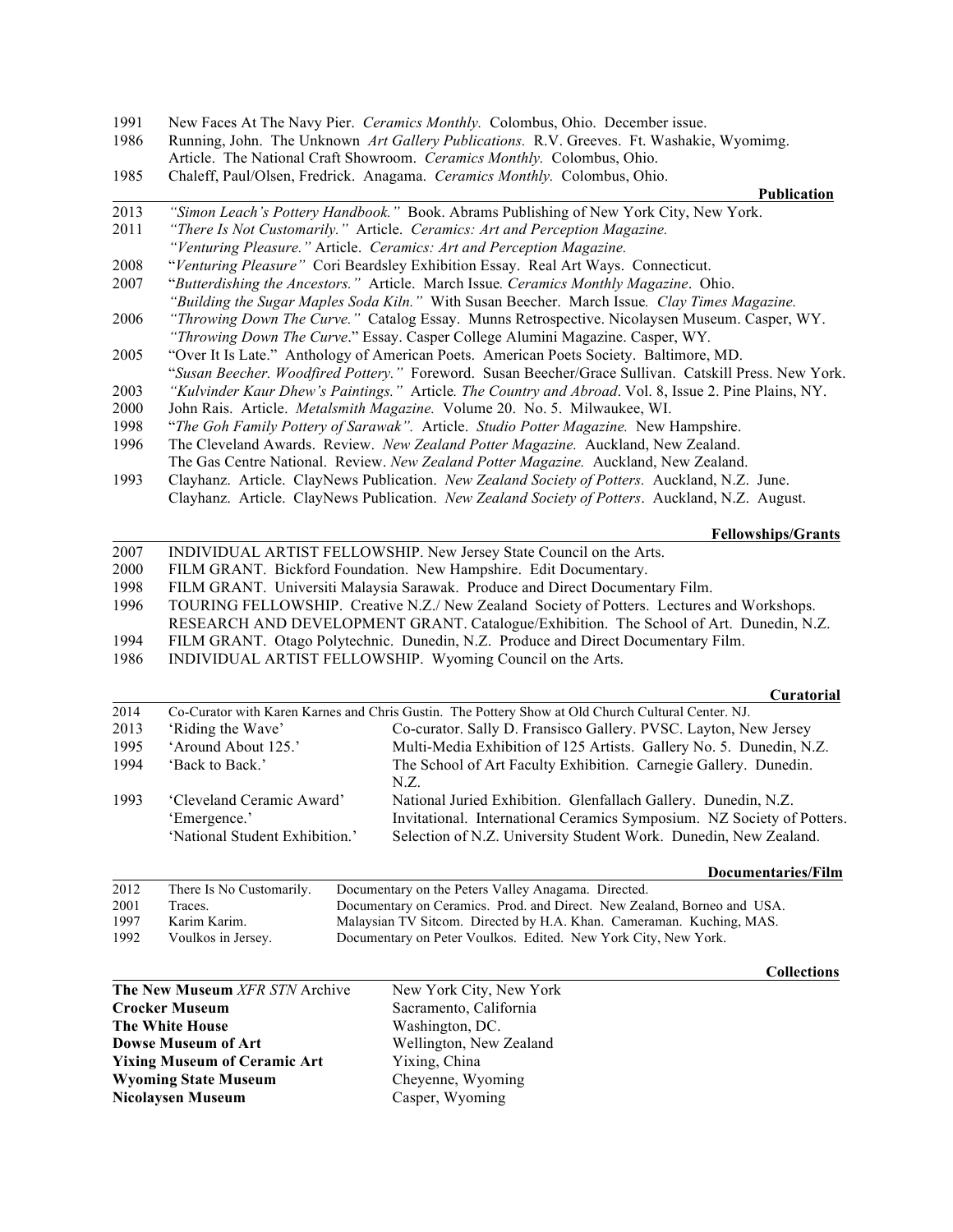- 1991 New Faces At The Navy Pier. *Ceramics Monthly.* Colombus, Ohio. December issue.
- 1986 Running, John. The Unknown *Art Gallery Publications.* R.V. Greeves. Ft. Washakie, Wyomimg.
- Article. The National Craft Showroom. *Ceramics Monthly.* Colombus, Ohio.
- 1985 Chaleff, Paul/Olsen, Fredrick. Anagama. *Ceramics Monthly.* Colombus, Ohio.
- *Publication*
- 2013 *"Simon Leach's Pottery Handbook."* Book. Abrams Publishing of New York City, New York.
- 2011 *"There Is Not Customarily."* Article. *Ceramics: Art and Perception Magazine.*
- *"Venturing Pleasure."* Article. *Ceramics: Art and Perception Magazine.*
- 2008 "*Venturing Pleasure"* Cori Beardsley Exhibition Essay. Real Art Ways. Connecticut.
- 2007 "*Butterdishing the Ancestors."* Article. March Issue*. Ceramics Monthly Magazine*. Ohio.
- *"Building the Sugar Maples Soda Kiln."* With Susan Beecher. March Issue*. Clay Times Magazine.*
- 2006 *"Throwing Down The Curve."* Catalog Essay. Munns Retrospective. Nicolaysen Museum. Casper, WY.
- *"Throwing Down The Curve*." Essay. Casper College Alumini Magazine. Casper, WY*.*
- 2005 "Over It Is Late." Anthology of American Poets. American Poets Society. Baltimore, MD.
- "*Susan Beecher. Woodfired Pottery."* Foreword. Susan Beecher/Grace Sullivan. Catskill Press. New York.
- 2003 *"Kulvinder Kaur Dhew's Paintings."* Article*. The Country and Abroad*. Vol. 8, Issue 2. Pine Plains, NY.
- 2000 John Rais. Article. *Metalsmith Magazine.* Volume 20. No. 5. Milwaukee, WI.
- 1998 "*The Goh Family Pottery of Sarawak".* Article. *Studio Potter Magazine.* New Hampshire.
- 1996 The Cleveland Awards. Review. *New Zealand Potter Magazine.* Auckland, New Zealand. The Gas Centre National. Review. *New Zealand Potter Magazine.* Auckland, New Zealand.
- 1993 Clayhanz. Article. ClayNews Publication. *New Zealand Society of Potters.* Auckland, N.Z. June.
	- Clayhanz. Article. ClayNews Publication. *New Zealand Society of Potters*. Auckland, N.Z. August.

 **Fellowships/Grants**

 INDIVIDUAL ARTIST FELLOWSHIP. New Jersey State Council on the Arts. FILM GRANT. Bickford Foundation. New Hampshire. Edit Documentary. FILM GRANT. Universiti Malaysia Sarawak. Produce and Direct Documentary Film. TOURING FELLOWSHIP. Creative N.Z./ New Zealand Society of Potters. Lectures and Workshops. RESEARCH AND DEVELOPMENT GRANT. Catalogue/Exhibition. The School of Art. Dunedin, N.Z. FILM GRANT. Otago Polytechnic. Dunedin, N.Z. Produce and Direct Documentary Film. INDIVIDUAL ARTIST FELLOWSHIP. Wyoming Council on the Arts.

|      |                                                                             | <b>Curatorial</b>                                                                                                                                                                                            |
|------|-----------------------------------------------------------------------------|--------------------------------------------------------------------------------------------------------------------------------------------------------------------------------------------------------------|
| 2014 |                                                                             | Co-Curator with Karen Karnes and Chris Gustin. The Pottery Show at Old Church Cultural Center. NJ.                                                                                                           |
| 2013 | 'Riding the Wave'                                                           | Co-curator. Sally D. Fransisco Gallery. PVSC. Layton, New Jersey                                                                                                                                             |
| 1995 | 'Around About 125.'                                                         | Multi-Media Exhibition of 125 Artists. Gallery No. 5. Dunedin, N.Z.                                                                                                                                          |
| 1994 | 'Back to Back.'                                                             | The School of Art Faculty Exhibition. Carnegie Gallery. Dunedin.<br>N.Z                                                                                                                                      |
| 1993 | 'Cleveland Ceramic Award'<br>'Emergence.'<br>'National Student Exhibition.' | National Juried Exhibition. Glenfallach Gallery. Dunedin, N.Z.<br>Invitational. International Ceramics Symposium. NZ Society of Potters.<br>Selection of N.Z. University Student Work. Dunedin, New Zealand. |

|      |                          | Documentaries/Film                                                      |
|------|--------------------------|-------------------------------------------------------------------------|
| 2012 | There Is No Customarily. | Documentary on the Peters Valley Anagama. Directed.                     |
| 2001 | Traces.                  | Documentary on Ceramics. Prod. and Direct. New Zealand, Borneo and USA. |
| 1997 | Karim Karim.             | Malaysian TV Sitcom. Directed by H.A. Khan. Cameraman. Kuching, MAS.    |
| 1992 | Voulkos in Jersey.       | Documentary on Peter Voulkos. Edited. New York City, New York.          |

|                                       |                         | <b>Collections</b> |
|---------------------------------------|-------------------------|--------------------|
| <b>The New Museum XFR STN Archive</b> | New York City, New York |                    |
| <b>Crocker Museum</b>                 | Sacramento, California  |                    |
| The White House                       | Washington, DC.         |                    |
| <b>Dowse Museum of Art</b>            | Wellington, New Zealand |                    |
| <b>Yixing Museum of Ceramic Art</b>   | Yixing, China           |                    |
| <b>Wyoming State Museum</b>           | Cheyenne, Wyoming       |                    |
| <b>Nicolaysen Museum</b>              | Casper, Wyoming         |                    |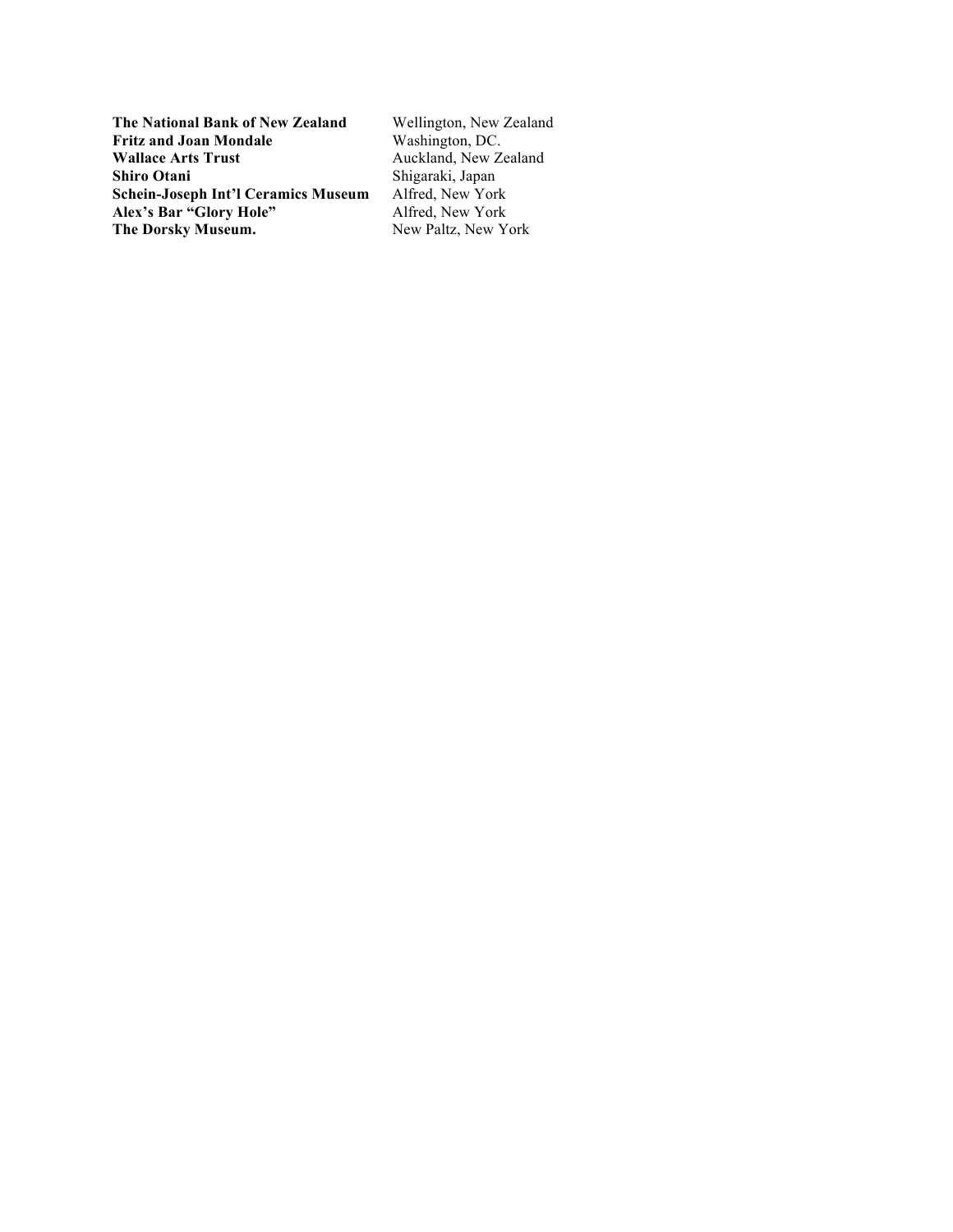**The National Bank of New Zealand** Wellington, New Zealand **Fritz and Joan Mondale<br>Wallace Arts Trust Shiro Otani** Shigaraki, Japan **Schein-Joseph Int'l Ceramics Museum** Alfred, New York Alex's Bar "Glory Hole" Alfred, New York **Alex's Bar "Glory Hole"** Alfred, New York **The Dorsky Museum.** New Paltz, New York

Washington, DC.<br>Auckland, New Zealand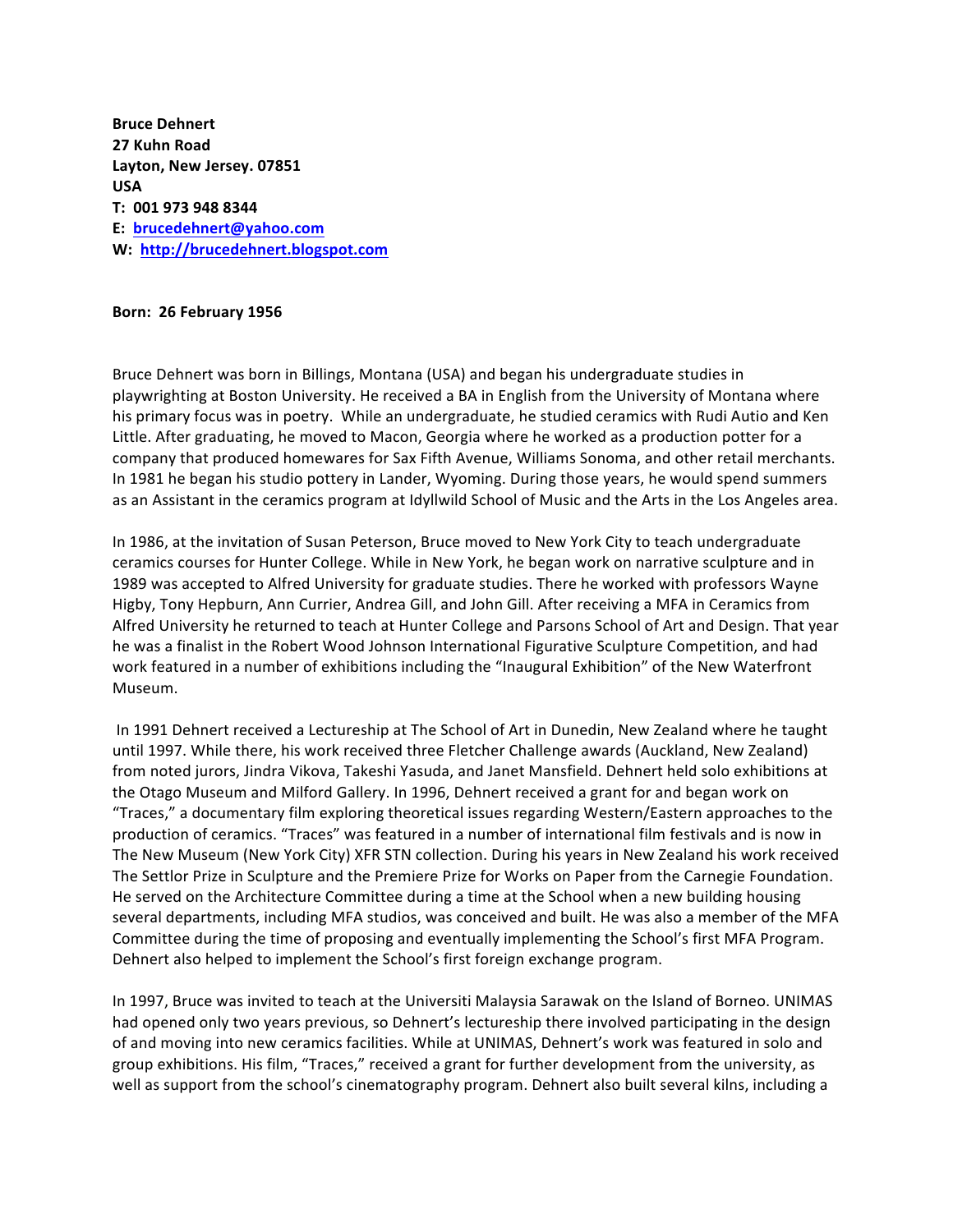**Bruce&Dehnert** 27 Kuhn Road Layton, New Jersey. 07851 **USA T:&&001&973&948&8344 E: brucedehnert@yahoo.com** W: http://brucedehnert.blogspot.com

### **Born: 26 February 1956**

Bruce Dehnert was born in Billings, Montana (USA) and began his undergraduate studies in playwrighting at Boston University. He received a BA in English from the University of Montana where his primary focus was in poetry. While an undergraduate, he studied ceramics with Rudi Autio and Ken Little. After graduating, he moved to Macon, Georgia where he worked as a production potter for a company that produced homewares for Sax Fifth Avenue, Williams Sonoma, and other retail merchants. In 1981 he began his studio pottery in Lander, Wyoming. During those years, he would spend summers as an Assistant in the ceramics program at Idyllwild School of Music and the Arts in the Los Angeles area.

In 1986, at the invitation of Susan Peterson, Bruce moved to New York City to teach undergraduate ceramics courses for Hunter College. While in New York, he began work on narrative sculpture and in 1989 was accepted to Alfred University for graduate studies. There he worked with professors Wayne Higby, Tony Hepburn, Ann Currier, Andrea Gill, and John Gill. After receiving a MFA in Ceramics from Alfred University he returned to teach at Hunter College and Parsons School of Art and Design. That year he was a finalist in the Robert Wood Johnson International Figurative Sculpture Competition, and had work featured in a number of exhibitions including the "Inaugural Exhibition" of the New Waterfront Museum.

In 1991 Dehnert received a Lectureship at The School of Art in Dunedin, New Zealand where he taught until 1997. While there, his work received three Fletcher Challenge awards (Auckland, New Zealand) from noted jurors, Jindra Vikova, Takeshi Yasuda, and Janet Mansfield. Dehnert held solo exhibitions at the Otago Museum and Milford Gallery. In 1996, Dehnert received a grant for and began work on "Traces," a documentary film exploring theoretical issues regarding Western/Eastern approaches to the production of ceramics. "Traces" was featured in a number of international film festivals and is now in The New Museum (New York City) XFR STN collection. During his years in New Zealand his work received The Settlor Prize in Sculpture and the Premiere Prize for Works on Paper from the Carnegie Foundation. He served on the Architecture Committee during a time at the School when a new building housing several departments, including MFA studios, was conceived and built. He was also a member of the MFA Committee during the time of proposing and eventually implementing the School's first MFA Program. Dehnert also helped to implement the School's first foreign exchange program.

In 1997, Bruce was invited to teach at the Universiti Malaysia Sarawak on the Island of Borneo. UNIMAS had opened only two years previous, so Dehnert's lectureship there involved participating in the design of and moving into new ceramics facilities. While at UNIMAS, Dehnert's work was featured in solo and group exhibitions. His film, "Traces," received a grant for further development from the university, as well as support from the school's cinematography program. Dehnert also built several kilns, including a